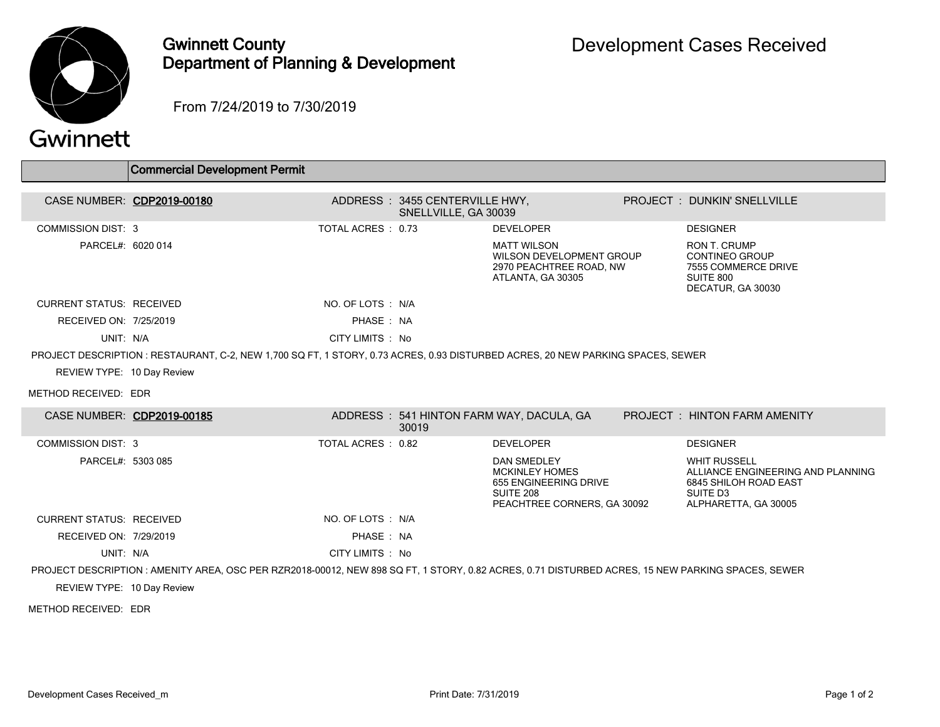

## Gwinnett County Department of Planning & Development

From 7/24/2019 to 7/30/2019

## Gwinnett

|                                 | Commercial Development Permit                                                                                                                     |                    |                                                        |                                                                                                                  |  |                                                                                                                       |  |  |  |
|---------------------------------|---------------------------------------------------------------------------------------------------------------------------------------------------|--------------------|--------------------------------------------------------|------------------------------------------------------------------------------------------------------------------|--|-----------------------------------------------------------------------------------------------------------------------|--|--|--|
|                                 |                                                                                                                                                   |                    |                                                        |                                                                                                                  |  |                                                                                                                       |  |  |  |
|                                 | CASE NUMBER: CDP2019-00180                                                                                                                        |                    | ADDRESS: 3455 CENTERVILLE HWY,<br>SNELLVILLE, GA 30039 |                                                                                                                  |  | <b>PROJECT: DUNKIN' SNELLVILLE</b>                                                                                    |  |  |  |
| <b>COMMISSION DIST: 3</b>       |                                                                                                                                                   | TOTAL ACRES : 0.73 |                                                        | <b>DEVELOPER</b>                                                                                                 |  | <b>DESIGNER</b>                                                                                                       |  |  |  |
| PARCEL#: 6020 014               |                                                                                                                                                   |                    |                                                        | <b>MATT WILSON</b><br>WILSON DEVELOPMENT GROUP<br>2970 PEACHTREE ROAD, NW<br>ATLANTA, GA 30305                   |  | <b>RON T. CRUMP</b><br><b>CONTINEO GROUP</b><br>7555 COMMERCE DRIVE<br>SUITE 800<br>DECATUR, GA 30030                 |  |  |  |
| <b>CURRENT STATUS: RECEIVED</b> |                                                                                                                                                   | NO. OF LOTS : N/A  |                                                        |                                                                                                                  |  |                                                                                                                       |  |  |  |
| RECEIVED ON: 7/25/2019          |                                                                                                                                                   | PHASE: NA          |                                                        |                                                                                                                  |  |                                                                                                                       |  |  |  |
| UNIT: N/A                       |                                                                                                                                                   | CITY LIMITS : No   |                                                        |                                                                                                                  |  |                                                                                                                       |  |  |  |
|                                 | PROJECT DESCRIPTION : RESTAURANT, C-2, NEW 1,700 SQ FT, 1 STORY, 0.73 ACRES, 0.93 DISTURBED ACRES, 20 NEW PARKING SPACES, SEWER                   |                    |                                                        |                                                                                                                  |  |                                                                                                                       |  |  |  |
| REVIEW TYPE: 10 Day Review      |                                                                                                                                                   |                    |                                                        |                                                                                                                  |  |                                                                                                                       |  |  |  |
| METHOD RECEIVED: EDR            |                                                                                                                                                   |                    |                                                        |                                                                                                                  |  |                                                                                                                       |  |  |  |
| CASE NUMBER: CDP2019-00185      |                                                                                                                                                   |                    | 30019                                                  | ADDRESS: 541 HINTON FARM WAY, DACULA, GA                                                                         |  | <b>PROJECT : HINTON FARM AMENITY</b>                                                                                  |  |  |  |
| <b>COMMISSION DIST: 3</b>       |                                                                                                                                                   | TOTAL ACRES : 0.82 |                                                        | <b>DEVELOPER</b>                                                                                                 |  | <b>DESIGNER</b>                                                                                                       |  |  |  |
| PARCEL#: 5303 085               |                                                                                                                                                   |                    |                                                        | <b>DAN SMEDLEY</b><br><b>MCKINLEY HOMES</b><br>655 ENGINEERING DRIVE<br>SUITE 208<br>PEACHTREE CORNERS, GA 30092 |  | <b>WHIT RUSSELL</b><br>ALLIANCE ENGINEERING AND PLANNING<br>6845 SHILOH ROAD EAST<br>SUITE D3<br>ALPHARETTA, GA 30005 |  |  |  |
| <b>CURRENT STATUS: RECEIVED</b> |                                                                                                                                                   | NO. OF LOTS : N/A  |                                                        |                                                                                                                  |  |                                                                                                                       |  |  |  |
| RECEIVED ON: 7/29/2019          |                                                                                                                                                   | PHASE: NA          |                                                        |                                                                                                                  |  |                                                                                                                       |  |  |  |
| UNIT: N/A                       |                                                                                                                                                   | CITY LIMITS : No   |                                                        |                                                                                                                  |  |                                                                                                                       |  |  |  |
|                                 | PROJECT DESCRIPTION : AMENITY AREA, OSC PER RZR2018-00012, NEW 898 SQ FT, 1 STORY, 0.82 ACRES, 0.71 DISTURBED ACRES, 15 NEW PARKING SPACES, SEWER |                    |                                                        |                                                                                                                  |  |                                                                                                                       |  |  |  |
| REVIEW TYPE: 10 Day Review      |                                                                                                                                                   |                    |                                                        |                                                                                                                  |  |                                                                                                                       |  |  |  |

METHOD RECEIVED: EDR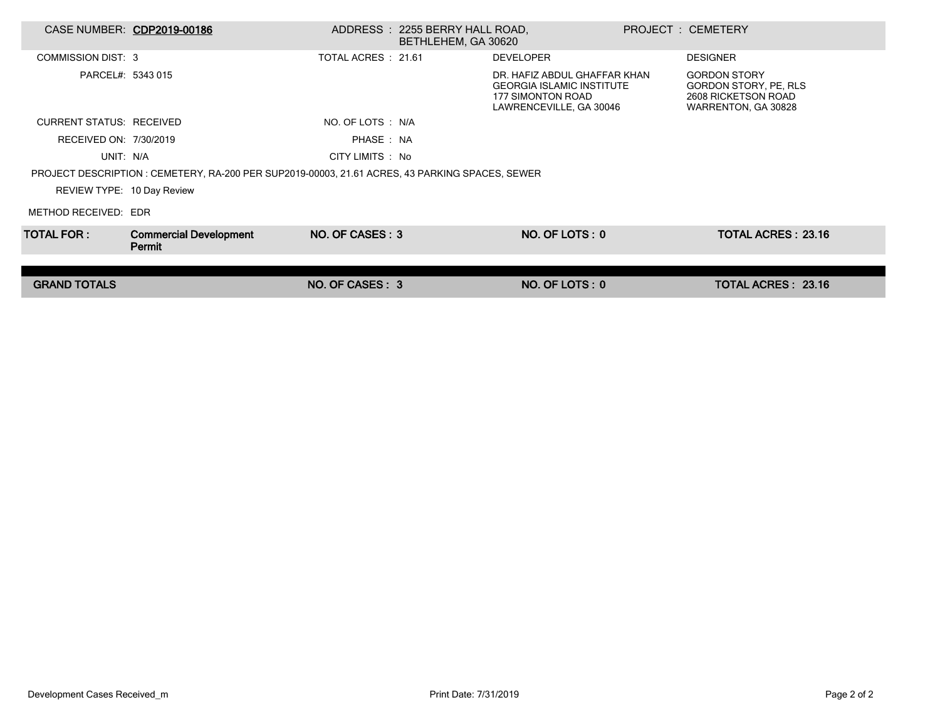|                                 | CASE NUMBER: CDP2019-00186                                                                      |                     | ADDRESS: 2255 BERRY HALL ROAD,<br>BETHLEHEM, GA 30620 |                                                                                                                  | <b>PROJECT: CEMETERY</b>                                                                   |  |
|---------------------------------|-------------------------------------------------------------------------------------------------|---------------------|-------------------------------------------------------|------------------------------------------------------------------------------------------------------------------|--------------------------------------------------------------------------------------------|--|
| <b>COMMISSION DIST: 3</b>       |                                                                                                 | TOTAL ACRES : 21.61 |                                                       | <b>DEVELOPER</b>                                                                                                 | <b>DESIGNER</b>                                                                            |  |
| PARCEL#: 5343 015               |                                                                                                 |                     |                                                       | DR. HAFIZ ABDUL GHAFFAR KHAN<br><b>GEORGIA ISLAMIC INSTITUTE</b><br>177 SIMONTON ROAD<br>LAWRENCEVILLE, GA 30046 | <b>GORDON STORY</b><br>GORDON STORY, PE, RLS<br>2608 RICKETSON ROAD<br>WARRENTON, GA 30828 |  |
| <b>CURRENT STATUS: RECEIVED</b> |                                                                                                 | NO. OF LOTS : N/A   |                                                       |                                                                                                                  |                                                                                            |  |
| RECEIVED ON: 7/30/2019          |                                                                                                 | PHASE: NA           |                                                       |                                                                                                                  |                                                                                            |  |
| UNIT: N/A                       |                                                                                                 | CITY LIMITS : No    |                                                       |                                                                                                                  |                                                                                            |  |
|                                 | PROJECT DESCRIPTION : CEMETERY, RA-200 PER SUP2019-00003, 21.61 ACRES, 43 PARKING SPACES, SEWER |                     |                                                       |                                                                                                                  |                                                                                            |  |
| REVIEW TYPE: 10 Day Review      |                                                                                                 |                     |                                                       |                                                                                                                  |                                                                                            |  |
| METHOD RECEIVED: EDR            |                                                                                                 |                     |                                                       |                                                                                                                  |                                                                                            |  |
| TOTAL FOR : I                   | <b>Commercial Development</b><br>Permit                                                         | NO. OF CASES: 3     |                                                       | NO. OF LOTS: 0                                                                                                   | <b>TOTAL ACRES: 23.16</b>                                                                  |  |
|                                 |                                                                                                 |                     |                                                       |                                                                                                                  |                                                                                            |  |
| <b>GRAND TOTALS</b>             |                                                                                                 | NO. OF CASES: 3     |                                                       | NO. OF LOTS: 0                                                                                                   | TOTAL ACRES: 23.16                                                                         |  |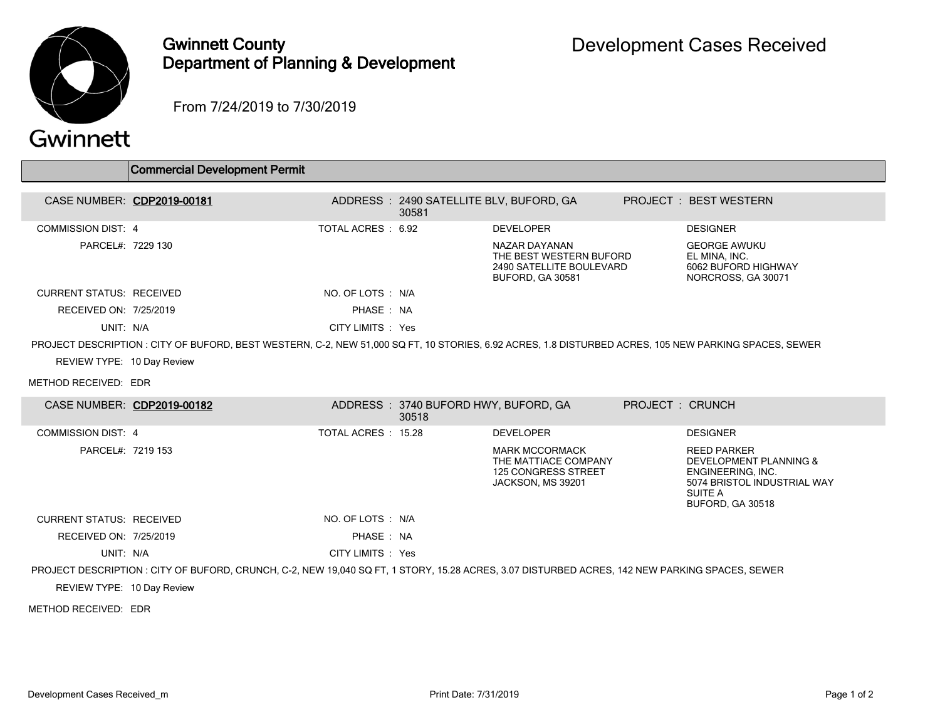

## Gwinnett County Department of Planning & Development

From 7/24/2019 to 7/30/2019

| Gwinnett |  |  |  |
|----------|--|--|--|
|          |  |  |  |

 $\Box$ 

|                                 | <b>Commercial Development Permit</b>                                                                                                                  |                    |                                                  |                                                                                                  |                 |                                                                                                                                               |
|---------------------------------|-------------------------------------------------------------------------------------------------------------------------------------------------------|--------------------|--------------------------------------------------|--------------------------------------------------------------------------------------------------|-----------------|-----------------------------------------------------------------------------------------------------------------------------------------------|
|                                 |                                                                                                                                                       |                    |                                                  |                                                                                                  |                 |                                                                                                                                               |
|                                 | CASE NUMBER: CDP2019-00181                                                                                                                            |                    | ADDRESS: 2490 SATELLITE BLV, BUFORD, GA<br>30581 |                                                                                                  |                 | PROJECT: BEST WESTERN                                                                                                                         |
| <b>COMMISSION DIST: 4</b>       |                                                                                                                                                       | TOTAL ACRES: 6.92  |                                                  | <b>DEVELOPER</b>                                                                                 |                 | <b>DESIGNER</b>                                                                                                                               |
| PARCEL#: 7229 130               |                                                                                                                                                       |                    |                                                  | NAZAR DAYANAN<br>THE BEST WESTERN BUFORD<br>2490 SATELLITE BOULEVARD<br><b>BUFORD, GA 30581</b>  |                 | <b>GEORGE AWUKU</b><br>EL MINA. INC.<br>6062 BUFORD HIGHWAY<br>NORCROSS, GA 30071                                                             |
| <b>CURRENT STATUS: RECEIVED</b> |                                                                                                                                                       | NO. OF LOTS : N/A  |                                                  |                                                                                                  |                 |                                                                                                                                               |
| RECEIVED ON: 7/25/2019          |                                                                                                                                                       | PHASE: NA          |                                                  |                                                                                                  |                 |                                                                                                                                               |
| UNIT: N/A                       |                                                                                                                                                       | CITY LIMITS : Yes  |                                                  |                                                                                                  |                 |                                                                                                                                               |
|                                 | PROJECT DESCRIPTION : CITY OF BUFORD, BEST WESTERN, C-2, NEW 51,000 SQ FT, 10 STORIES, 6.92 ACRES, 1.8 DISTURBED ACRES, 105 NEW PARKING SPACES, SEWER |                    |                                                  |                                                                                                  |                 |                                                                                                                                               |
| REVIEW TYPE: 10 Day Review      |                                                                                                                                                       |                    |                                                  |                                                                                                  |                 |                                                                                                                                               |
| METHOD RECEIVED: EDR            |                                                                                                                                                       |                    |                                                  |                                                                                                  |                 |                                                                                                                                               |
|                                 | CASE NUMBER: CDP2019-00182                                                                                                                            |                    | ADDRESS: 3740 BUFORD HWY, BUFORD, GA<br>30518    |                                                                                                  | PROJECT: CRUNCH |                                                                                                                                               |
| <b>COMMISSION DIST: 4</b>       |                                                                                                                                                       | TOTAL ACRES: 15.28 |                                                  | <b>DEVELOPER</b>                                                                                 |                 | <b>DESIGNER</b>                                                                                                                               |
| PARCEL#: 7219 153               |                                                                                                                                                       |                    |                                                  | <b>MARK MCCORMACK</b><br>THE MATTIACE COMPANY<br><b>125 CONGRESS STREET</b><br>JACKSON, MS 39201 |                 | <b>REED PARKER</b><br>DEVELOPMENT PLANNING &<br><b>ENGINEERING. INC.</b><br>5074 BRISTOL INDUSTRIAL WAY<br><b>SUITE A</b><br>BUFORD, GA 30518 |
| <b>CURRENT STATUS: RECEIVED</b> |                                                                                                                                                       | NO. OF LOTS : N/A  |                                                  |                                                                                                  |                 |                                                                                                                                               |
| RECEIVED ON: 7/25/2019          |                                                                                                                                                       | PHASE: NA          |                                                  |                                                                                                  |                 |                                                                                                                                               |
| UNIT: N/A                       |                                                                                                                                                       | CITY LIMITS : Yes  |                                                  |                                                                                                  |                 |                                                                                                                                               |
|                                 | PROJECT DESCRIPTION : CITY OF BUFORD, CRUNCH, C-2, NEW 19,040 SQ FT, 1 STORY, 15.28 ACRES, 3.07 DISTURBED ACRES, 142 NEW PARKING SPACES, SEWER        |                    |                                                  |                                                                                                  |                 |                                                                                                                                               |

REVIEW TYPE: 10 Day Review

METHOD RECEIVED: EDR